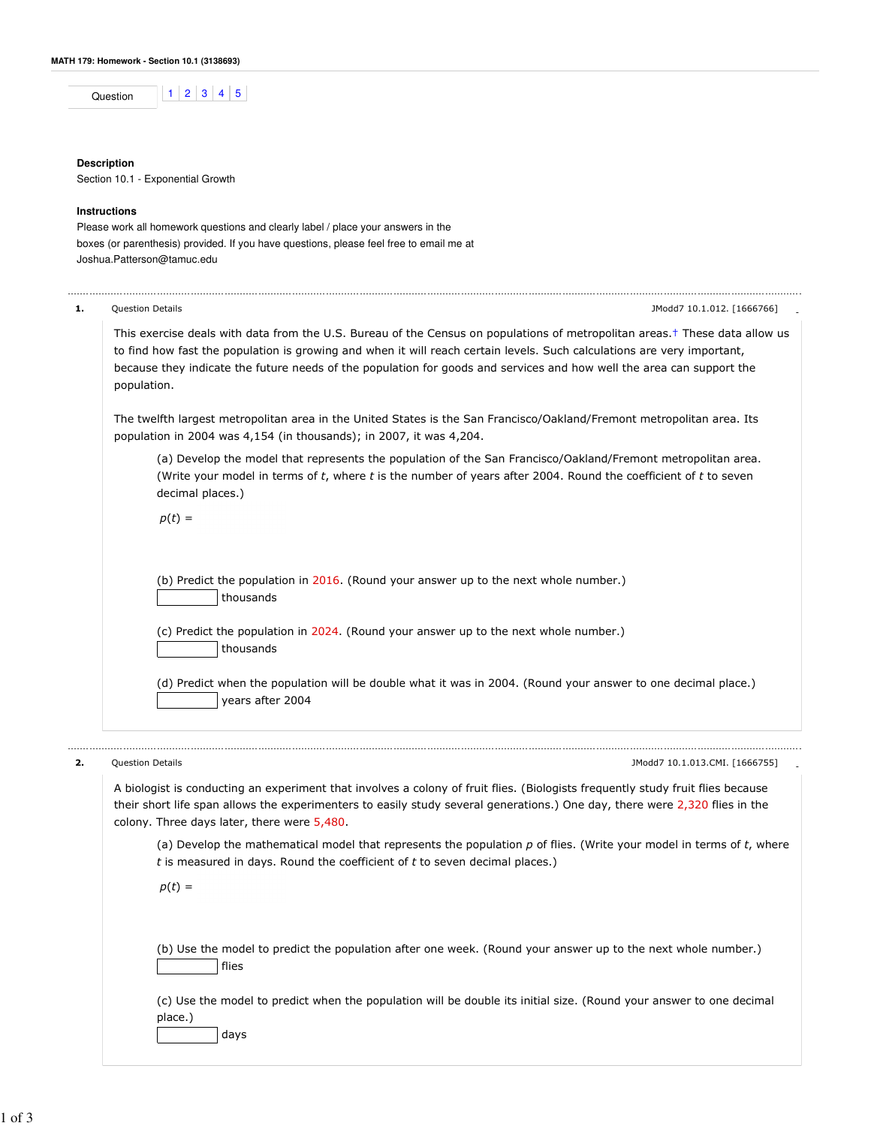Question  $\begin{array}{|c|c|c|c|c|c|}\n\hline\n1 & 2 & 3 & 4 & 5\n\end{array}$ 

## **Description**

Section 10.1 - Exponential Growth

## **Instructions**

Please work all homework questions and clearly label / place your answers in the boxes (or parenthesis) provided. If you have questions, please feel free to email me at Joshua.Patterson@tamuc.edu

| 1. | <b>Question Details</b><br>JModd7 10.1.012. [1666766]                                                                                                                                                                                                                                                                                                                                                      |
|----|------------------------------------------------------------------------------------------------------------------------------------------------------------------------------------------------------------------------------------------------------------------------------------------------------------------------------------------------------------------------------------------------------------|
|    | This exercise deals with data from the U.S. Bureau of the Census on populations of metropolitan areas. <sup>†</sup> These data allow us<br>to find how fast the population is growing and when it will reach certain levels. Such calculations are very important,<br>because they indicate the future needs of the population for goods and services and how well the area can support the<br>population. |
|    | The twelfth largest metropolitan area in the United States is the San Francisco/Oakland/Fremont metropolitan area. Its<br>population in 2004 was 4,154 (in thousands); in 2007, it was 4,204.                                                                                                                                                                                                              |
|    | (a) Develop the model that represents the population of the San Francisco/Oakland/Fremont metropolitan area.<br>(Write your model in terms of t, where t is the number of years after 2004. Round the coefficient of t to seven<br>decimal places.)                                                                                                                                                        |
|    | $p(t) =$                                                                                                                                                                                                                                                                                                                                                                                                   |
|    | (b) Predict the population in 2016. (Round your answer up to the next whole number.)<br>thousands                                                                                                                                                                                                                                                                                                          |
|    | (c) Predict the population in 2024. (Round your answer up to the next whole number.)<br>thousands                                                                                                                                                                                                                                                                                                          |
|    | (d) Predict when the population will be double what it was in 2004. (Round your answer to one decimal place.)<br>years after 2004                                                                                                                                                                                                                                                                          |
| 2. | Question Details<br>JModd7 10.1.013.CMI. [1666755]                                                                                                                                                                                                                                                                                                                                                         |
|    | A biologist is conducting an experiment that involves a colony of fruit flies. (Biologists frequently study fruit flies because<br>their short life span allows the experimenters to easily study several generations.) One day, there were 2,320 flies in the<br>colony. Three days later, there were 5,480.                                                                                              |

(a) Develop the mathematical model that represents the population  $p$  of flies. (Write your model in terms of  $t$ , where  $t$  is measured in days. Round the coefficient of  $t$  to seven decimal places.)

 $p(t) =$ 

(b) Use the model to predict the population after one week. (Round your answer up to the next whole number.) flies

(c) Use the model to predict when the population will be double its initial size. (Round your answer to one decimal place.)

days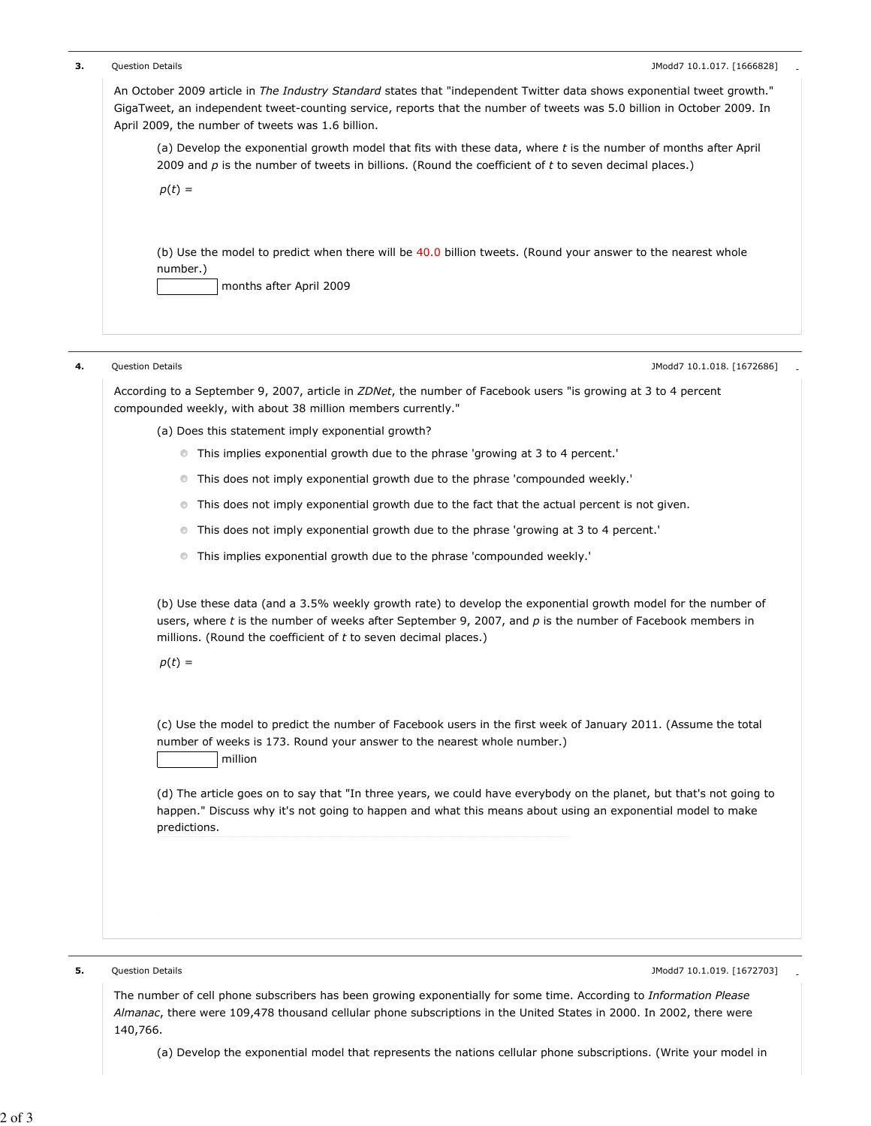| Question Details<br>JModd7 10.1.017. [1666828]                                                                                                                                                                                                                                                          |
|---------------------------------------------------------------------------------------------------------------------------------------------------------------------------------------------------------------------------------------------------------------------------------------------------------|
| An October 2009 article in The Industry Standard states that "independent Twitter data shows exponential tweet growth."<br>GigaTweet, an independent tweet-counting service, reports that the number of tweets was 5.0 billion in October 2009. In<br>April 2009, the number of tweets was 1.6 billion. |
| (a) Develop the exponential growth model that fits with these data, where t is the number of months after April<br>2009 and $p$ is the number of tweets in billions. (Round the coefficient of $t$ to seven decimal places.)                                                                            |
| $p(t) =$                                                                                                                                                                                                                                                                                                |
| (b) Use the model to predict when there will be 40.0 billion tweets. (Round your answer to the nearest whole<br>number.)<br>months after April 2009                                                                                                                                                     |
| Question Details<br>JModd7 10.1.018. [1672686]                                                                                                                                                                                                                                                          |
| According to a September 9, 2007, article in ZDNet, the number of Facebook users "is growing at 3 to 4 percent<br>compounded weekly, with about 38 million members currently."                                                                                                                          |
| (a) Does this statement imply exponential growth?                                                                                                                                                                                                                                                       |
| This implies exponential growth due to the phrase 'growing at 3 to 4 percent.'<br>$\circledcirc$                                                                                                                                                                                                        |
| This does not imply exponential growth due to the phrase 'compounded weekly.'<br>$\circledcirc$                                                                                                                                                                                                         |
| This does not imply exponential growth due to the fact that the actual percent is not given.<br>$\circledcirc$                                                                                                                                                                                          |
| This does not imply exponential growth due to the phrase 'growing at 3 to 4 percent.'<br>$\circledcirc$                                                                                                                                                                                                 |
| This implies exponential growth due to the phrase 'compounded weekly.'<br>$\circledcirc$                                                                                                                                                                                                                |
| (b) Use these data (and a 3.5% weekly growth rate) to develop the exponential growth model for the number of<br>users, where $t$ is the number of weeks after September 9, 2007, and $p$ is the number of Facebook members in<br>millions. (Round the coefficient of $t$ to seven decimal places.)      |
| $p(t) =$                                                                                                                                                                                                                                                                                                |
| (c) Use the model to predict the number of Facebook users in the first week of January 2011. (Assume the total<br>number of weeks is 173. Round your answer to the nearest whole number.)<br>million                                                                                                    |
| (d) The article goes on to say that "In three years, we could have everybody on the planet, but that's not going to<br>happen." Discuss why it's not going to happen and what this means about using an exponential model to make<br>predictions.                                                       |
|                                                                                                                                                                                                                                                                                                         |
|                                                                                                                                                                                                                                                                                                         |

The number of cell phone subscribers has been growing exponentially for some time. According to Information Please Almanac, there were 109,478 thousand cellular phone subscriptions in the United States in 2000. In 2002, there were 140,766.

(a) Develop the exponential model that represents the nations cellular phone subscriptions. (Write your model in